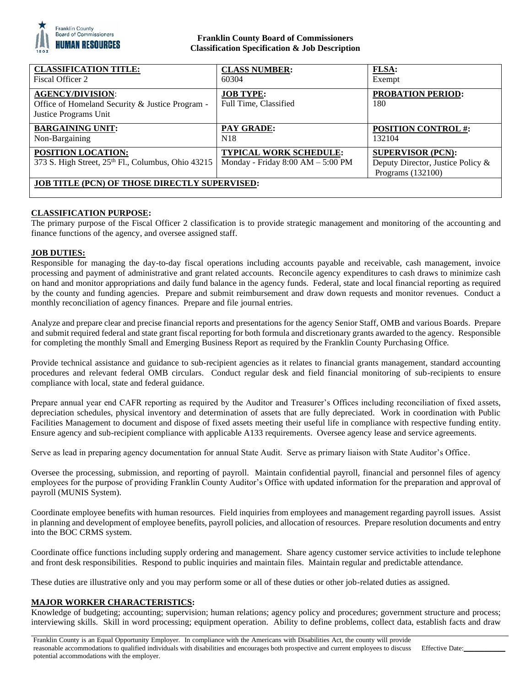

## **Franklin County Board of Commissioners Classification Specification & Job Description**

| <b>CLASSIFICATION TITLE:</b><br>Fiscal Officer 2                                                    | <b>CLASS NUMBER:</b><br>60304                                        | FLSA:<br>Exempt                                                                    |
|-----------------------------------------------------------------------------------------------------|----------------------------------------------------------------------|------------------------------------------------------------------------------------|
| <b>AGENCY/DIVISION:</b><br>Office of Homeland Security & Justice Program -<br>Justice Programs Unit | <b>JOB TYPE:</b><br>Full Time, Classified                            | <b>PROBATION PERIOD:</b><br>180                                                    |
| <b>BARGAINING UNIT:</b><br>Non-Bargaining                                                           | PAY GRADE:<br>N <sub>18</sub>                                        | <b>POSITION CONTROL #:</b><br>132104                                               |
| <b>POSITION LOCATION:</b><br>373 S. High Street, 25 <sup>th</sup> Fl., Columbus, Ohio 43215         | <b>TYPICAL WORK SCHEDULE:</b><br>Monday - Friday $8:00 AM - 5:00 PM$ | <b>SUPERVISOR (PCN):</b><br>Deputy Director, Justice Policy &<br>Programs (132100) |
| <b>JOB TITLE (PCN) OF THOSE DIRECTLY SUPERVISED:</b>                                                |                                                                      |                                                                                    |

## **CLASSIFICATION PURPOSE:**

The primary purpose of the Fiscal Officer 2 classification is to provide strategic management and monitoring of the accounting and finance functions of the agency, and oversee assigned staff.

## **JOB DUTIES:**

Responsible for managing the day-to-day fiscal operations including accounts payable and receivable, cash management, invoice processing and payment of administrative and grant related accounts. Reconcile agency expenditures to cash draws to minimize cash on hand and monitor appropriations and daily fund balance in the agency funds. Federal, state and local financial reporting as required by the county and funding agencies. Prepare and submit reimbursement and draw down requests and monitor revenues. Conduct a monthly reconciliation of agency finances. Prepare and file journal entries.

Analyze and prepare clear and precise financial reports and presentations for the agency Senior Staff, OMB and various Boards. Prepare and submit required federal and state grant fiscal reporting for both formula and discretionary grants awarded to the agency. Responsible for completing the monthly Small and Emerging Business Report as required by the Franklin County Purchasing Office.

Provide technical assistance and guidance to sub-recipient agencies as it relates to financial grants management, standard accounting procedures and relevant federal OMB circulars. Conduct regular desk and field financial monitoring of sub-recipients to ensure compliance with local, state and federal guidance.

Prepare annual year end CAFR reporting as required by the Auditor and Treasurer's Offices including reconciliation of fixed assets, depreciation schedules, physical inventory and determination of assets that are fully depreciated. Work in coordination with Public Facilities Management to document and dispose of fixed assets meeting their useful life in compliance with respective funding entity. Ensure agency and sub-recipient compliance with applicable A133 requirements. Oversee agency lease and service agreements.

Serve as lead in preparing agency documentation for annual State Audit. Serve as primary liaison with State Auditor's Office.

Oversee the processing, submission, and reporting of payroll. Maintain confidential payroll, financial and personnel files of agency employees for the purpose of providing Franklin County Auditor's Office with updated information for the preparation and approval of payroll (MUNIS System).

Coordinate employee benefits with human resources. Field inquiries from employees and management regarding payroll issues. Assist in planning and development of employee benefits, payroll policies, and allocation of resources. Prepare resolution documents and entry into the BOC CRMS system.

Coordinate office functions including supply ordering and management. Share agency customer service activities to include telephone and front desk responsibilities. Respond to public inquiries and maintain files. Maintain regular and predictable attendance.

These duties are illustrative only and you may perform some or all of these duties or other job-related duties as assigned.

## **MAJOR WORKER CHARACTERISTICS:**

Knowledge of budgeting; accounting; supervision; human relations; agency policy and procedures; government structure and process; interviewing skills. Skill in word processing; equipment operation. Ability to define problems, collect data, establish facts and draw